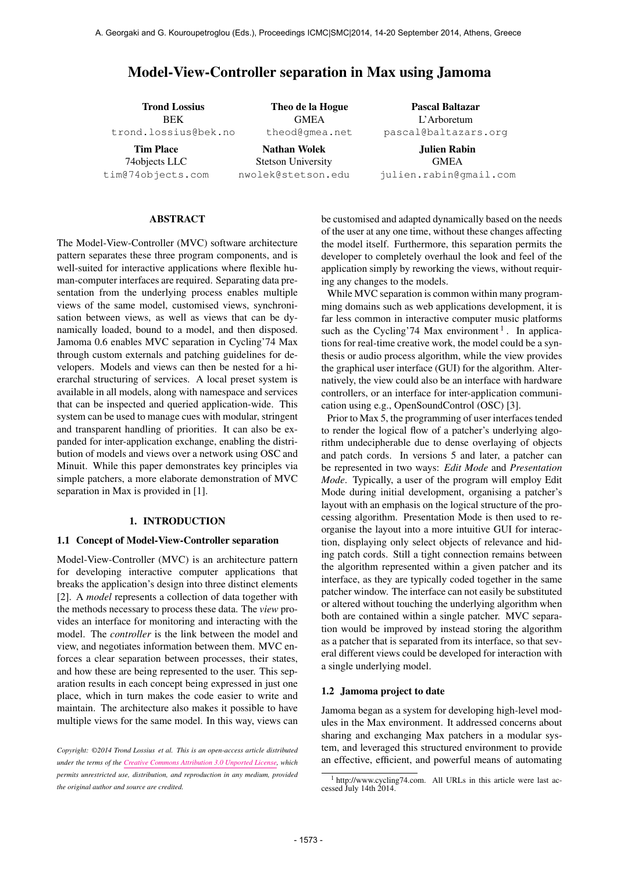# Model-View-Controller separation in Max using Jamoma

Trond Lossius BEK [trond.lossius@bek.no](mailto:trond.lossius@bek.no) Tim Place

74objects LLC [tim@74objects.com](mailto:tim@74objects.com)

Theo de la Hogue **GMEA** [theod@gmea.net](mailto:theod@gmea.net)

Nathan Wolek Stetson University [nwolek@stetson.edu](mailto:nwolek@stetson.edu)

Pascal Baltazar L'Arboretum [pascal@baltazars.org](mailto:pascal@baltazars.org)

Julien Rabin GMEA [julien.rabin@gmail.com](mailto:julien.rabin@gmail.com)

## ABSTRACT

The Model-View-Controller (MVC) software architecture pattern separates these three program components, and is well-suited for interactive applications where flexible human-computer interfaces are required. Separating data presentation from the underlying process enables multiple views of the same model, customised views, synchronisation between views, as well as views that can be dynamically loaded, bound to a model, and then disposed. Jamoma 0.6 enables MVC separation in Cycling'74 Max through custom externals and patching guidelines for developers. Models and views can then be nested for a hierarchal structuring of services. A local preset system is available in all models, along with namespace and services that can be inspected and queried application-wide. This system can be used to manage cues with modular, stringent and transparent handling of priorities. It can also be expanded for inter-application exchange, enabling the distribution of models and views over a network using OSC and Minuit. While this paper demonstrates key principles via simple patchers, a more elaborate demonstration of MVC separation in Max is provided in [1].

#### 1. INTRODUCTION

#### 1.1 Concept of Model-View-Controller separation

Model-View-Controller (MVC) is an architecture pattern for developing interactive computer applications that breaks the application's design into three distinct elements [2]. A *model* represents a collection of data together with the methods necessary to process these data. The *view* provides an interface for monitoring and interacting with the model. The *controller* is the link between the model and view, and negotiates information between them. MVC enforces a clear separation between processes, their states, and how these are being represented to the user. This separation results in each concept being expressed in just one place, which in turn makes the code easier to write and maintain. The architecture also makes it possible to have multiple views for the same model. In this way, views can be customised and adapted dynamically based on the needs of the user at any one time, without these changes affecting the model itself. Furthermore, this separation permits the developer to completely overhaul the look and feel of the application simply by reworking the views, without requiring any changes to the models.

While MVC separation is common within many programming domains such as web applications development, it is far less common in interactive computer music platforms such as the Cycling'74 Max environment<sup>1</sup>. In applications for real-time creative work, the model could be a synthesis or audio process algorithm, while the view provides the graphical user interface (GUI) for the algorithm. Alternatively, the view could also be an interface with hardware controllers, or an interface for inter-application communication using e.g., OpenSoundControl (OSC) [3].

Prior to Max 5, the programming of user interfaces tended to render the logical flow of a patcher's underlying algorithm undecipherable due to dense overlaying of objects and patch cords. In versions 5 and later, a patcher can be represented in two ways: *Edit Mode* and *Presentation Mode*. Typically, a user of the program will employ Edit Mode during initial development, organising a patcher's layout with an emphasis on the logical structure of the processing algorithm. Presentation Mode is then used to reorganise the layout into a more intuitive GUI for interaction, displaying only select objects of relevance and hiding patch cords. Still a tight connection remains between the algorithm represented within a given patcher and its interface, as they are typically coded together in the same patcher window. The interface can not easily be substituted or altered without touching the underlying algorithm when both are contained within a single patcher. MVC separation would be improved by instead storing the algorithm as a patcher that is separated from its interface, so that several different views could be developed for interaction with a single underlying model.

#### 1.2 Jamoma project to date

Jamoma began as a system for developing high-level modules in the Max environment. It addressed concerns about sharing and exchanging Max patchers in a modular system, and leveraged this structured environment to provide an effective, efficient, and powerful means of automating

*Copyright: ©2014 Trond Lossius et al. This is an open-access article distributed under the terms of the [Creative Commons Attribution 3.0 Unported License,](http://creativecommons.org/licenses/by/3.0/) which permits unrestricted use, distribution, and reproduction in any medium, provided the original author and source are credited.*

 $1$  [http://www.cycling74.com. All URLs in this article were last ac](http://cycling74.com)[cessed July 14th 2014.](http://cycling74.com)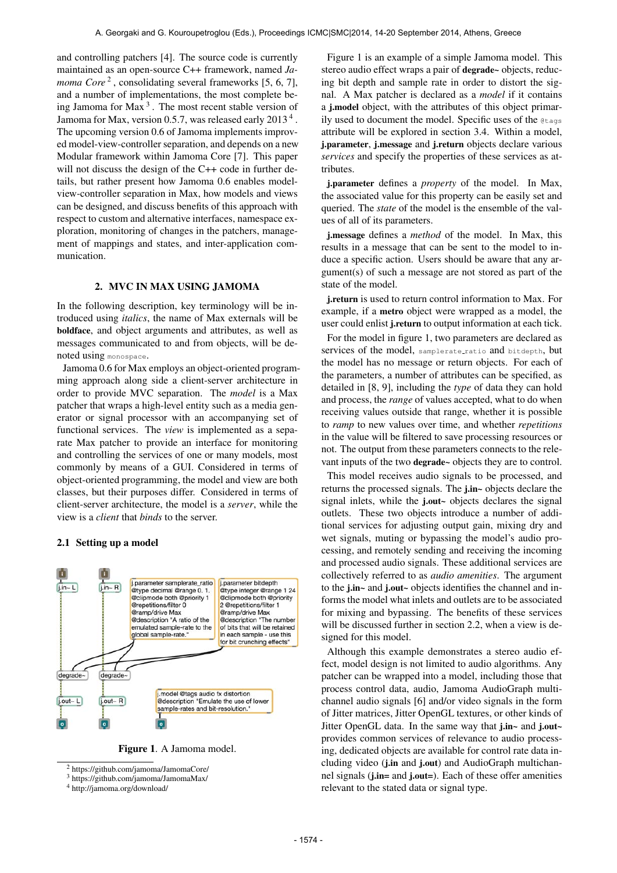and controlling patchers [4]. The source code is currently maintained as an open-source C++ framework, named *Ja*moma Core<sup>2</sup>, consolidating several frameworks [5, 6, 7], and a number of implementations, the most complete being Jamoma for Max<sup>3</sup>. The most recent stable version of Jamoma for Max, version 0.5.7, was released early 2013<sup>4</sup>. The upcoming version 0.6 of Jamoma implements improved model-view-controller separation, and depends on a new Modular framework within Jamoma Core [7]. This paper will not discuss the design of the C++ code in further details, but rather present how Jamoma 0.6 enables modelview-controller separation in Max, how models and views can be designed, and discuss benefits of this approach with respect to custom and alternative interfaces, namespace exploration, monitoring of changes in the patchers, management of mappings and states, and inter-application communication.

## 2. MVC IN MAX USING JAMOMA

In the following description, key terminology will be introduced using *italics*, the name of Max externals will be boldface, and object arguments and attributes, as well as messages communicated to and from objects, will be denoted using monospace.

Jamoma 0.6 for Max employs an object-oriented programming approach along side a client-server architecture in order to provide MVC separation. The *model* is a Max patcher that wraps a high-level entity such as a media generator or signal processor with an accompanying set of functional services. The *view* is implemented as a separate Max patcher to provide an interface for monitoring and controlling the services of one or many models, most commonly by means of a GUI. Considered in terms of object-oriented programming, the model and view are both classes, but their purposes differ. Considered in terms of client-server architecture, the model is a *server*, while the view is a *client* that *binds* to the server.

## 2.1 Setting up a model



Figure 1. A Jamoma model.

Figure 1 is an example of a simple Jamoma model. This stereo audio effect wraps a pair of degrade~ objects, reducing bit depth and sample rate in order to distort the signal. A Max patcher is declared as a *model* if it contains a j.model object, with the attributes of this object primarily used to document the model. Specific uses of the @tags attribute will be explored in section 3.4. Within a model, j.parameter, j.message and j.return objects declare various *services* and specify the properties of these services as attributes.

j.parameter defines a *property* of the model. In Max, the associated value for this property can be easily set and queried. The *state* of the model is the ensemble of the values of all of its parameters.

j.message defines a *method* of the model. In Max, this results in a message that can be sent to the model to induce a specific action. Users should be aware that any argument(s) of such a message are not stored as part of the state of the model.

j.return is used to return control information to Max. For example, if a metro object were wrapped as a model, the user could enlist j.return to output information at each tick.

For the model in figure 1, two parameters are declared as services of the model, samplerate ratio and bitdepth, but the model has no message or return objects. For each of the parameters, a number of attributes can be specified, as detailed in [8, 9], including the *type* of data they can hold and process, the *range* of values accepted, what to do when receiving values outside that range, whether it is possible to *ramp* to new values over time, and whether *repetitions* in the value will be filtered to save processing resources or not. The output from these parameters connects to the relevant inputs of the two degrade~ objects they are to control.

This model receives audio signals to be processed, and returns the processed signals. The j.in~ objects declare the signal inlets, while the j.out~ objects declares the signal outlets. These two objects introduce a number of additional services for adjusting output gain, mixing dry and wet signals, muting or bypassing the model's audio processing, and remotely sending and receiving the incoming and processed audio signals. These additional services are collectively referred to as *audio amenities*. The argument to the j.in~ and j.out~ objects identifies the channel and informs the model what inlets and outlets are to be associated for mixing and bypassing. The benefits of these services will be discussed further in section 2.2, when a view is designed for this model.

Although this example demonstrates a stereo audio effect, model design is not limited to audio algorithms. Any patcher can be wrapped into a model, including those that process control data, audio, Jamoma AudioGraph multichannel audio signals [6] and/or video signals in the form of Jitter matrices, Jitter OpenGL textures, or other kinds of Jitter OpenGL data. In the same way that j.in~ and j.out~ provides common services of relevance to audio processing, dedicated objects are available for control rate data including video (j.in and j.out) and AudioGraph multichannel signals (j.in= and j.out=). Each of these offer amenities relevant to the stated data or signal type.

<sup>2</sup> <https://github.com/jamoma/JamomaCore/>

<sup>3</sup> <https://github.com/jamoma/JamomaMax/>

<sup>4</sup> [http://jamoma.org/download/](http://www.jamoma.org/download/)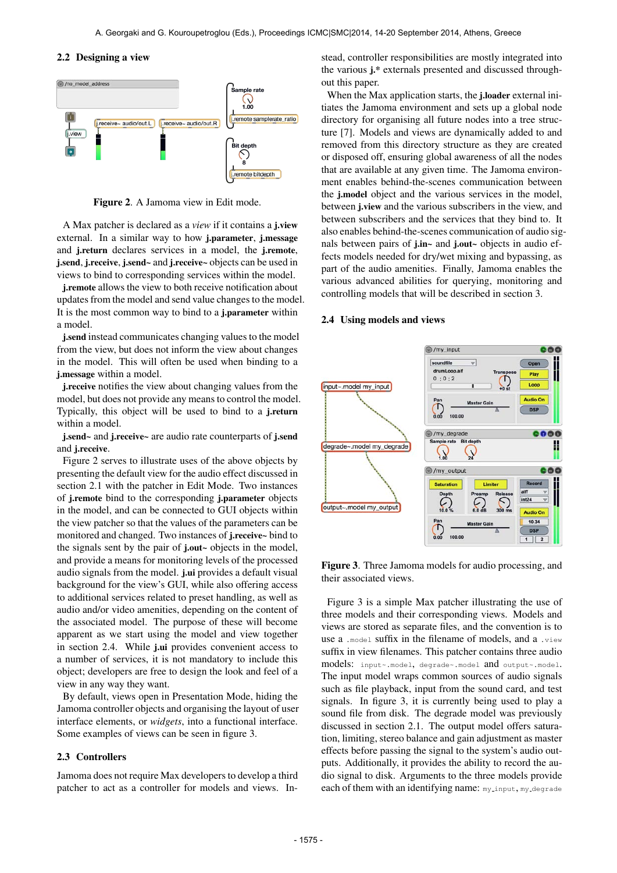#### 2.2 Designing a view



Figure 2. A Jamoma view in Edit mode.

A Max patcher is declared as a *view* if it contains a j.view external. In a similar way to how j.parameter, j.message and j.return declares services in a model, the j.remote, j.send, j.receive, j.send~ and j.receive~ objects can be used in views to bind to corresponding services within the model.

j.remote allows the view to both receive notification about updates from the model and send value changes to the model. It is the most common way to bind to a j.parameter within a model.

j.send instead communicates changing values to the model from the view, but does not inform the view about changes in the model. This will often be used when binding to a j.message within a model.

j.receive notifies the view about changing values from the model, but does not provide any means to control the model. Typically, this object will be used to bind to a j.return within a model.

j.send~ and j.receive~ are audio rate counterparts of j.send and j.receive.

Figure 2 serves to illustrate uses of the above objects by presenting the default view for the audio effect discussed in section 2.1 with the patcher in Edit Mode. Two instances of j.remote bind to the corresponding j.parameter objects in the model, and can be connected to GUI objects within the view patcher so that the values of the parameters can be monitored and changed. Two instances of j.receive~ bind to the signals sent by the pair of j.out~ objects in the model, and provide a means for monitoring levels of the processed audio signals from the model. j.ui provides a default visual background for the view's GUI, while also offering access to additional services related to preset handling, as well as audio and/or video amenities, depending on the content of the associated model. The purpose of these will become apparent as we start using the model and view together in section 2.4. While j.ui provides convenient access to a number of services, it is not mandatory to include this object; developers are free to design the look and feel of a view in any way they want.

By default, views open in Presentation Mode, hiding the Jamoma controller objects and organising the layout of user interface elements, or *widgets*, into a functional interface. Some examples of views can be seen in figure 3.

#### 2.3 Controllers

Jamoma does not require Max developers to develop a third patcher to act as a controller for models and views. Instead, controller responsibilities are mostly integrated into the various j.\* externals presented and discussed throughout this paper.

When the Max application starts, the j.loader external initiates the Jamoma environment and sets up a global node directory for organising all future nodes into a tree structure [7]. Models and views are dynamically added to and removed from this directory structure as they are created or disposed off, ensuring global awareness of all the nodes that are available at any given time. The Jamoma environment enables behind-the-scenes communication between the j.model object and the various services in the model, between j.view and the various subscribers in the view, and between subscribers and the services that they bind to. It also enables behind-the-scenes communication of audio signals between pairs of j.in~ and j.out~ objects in audio effects models needed for dry/wet mixing and bypassing, as part of the audio amenities. Finally, Jamoma enables the various advanced abilities for querying, monitoring and controlling models that will be described in section 3.

#### 2.4 Using models and views



Figure 3. Three Jamoma models for audio processing, and their associated views.

Figure 3 is a simple Max patcher illustrating the use of three models and their corresponding views. Models and views are stored as separate files, and the convention is to use a .model suffix in the filename of models, and a .view suffix in view filenames. This patcher contains three audio models: input~.model, degrade~.model and output~.model. The input model wraps common sources of audio signals such as file playback, input from the sound card, and test signals. In figure 3, it is currently being used to play a sound file from disk. The degrade model was previously discussed in section 2.1. The output model offers saturation, limiting, stereo balance and gain adjustment as master effects before passing the signal to the system's audio outputs. Additionally, it provides the ability to record the audio signal to disk. Arguments to the three models provide each of them with an identifying name: my\_input, my\_degrade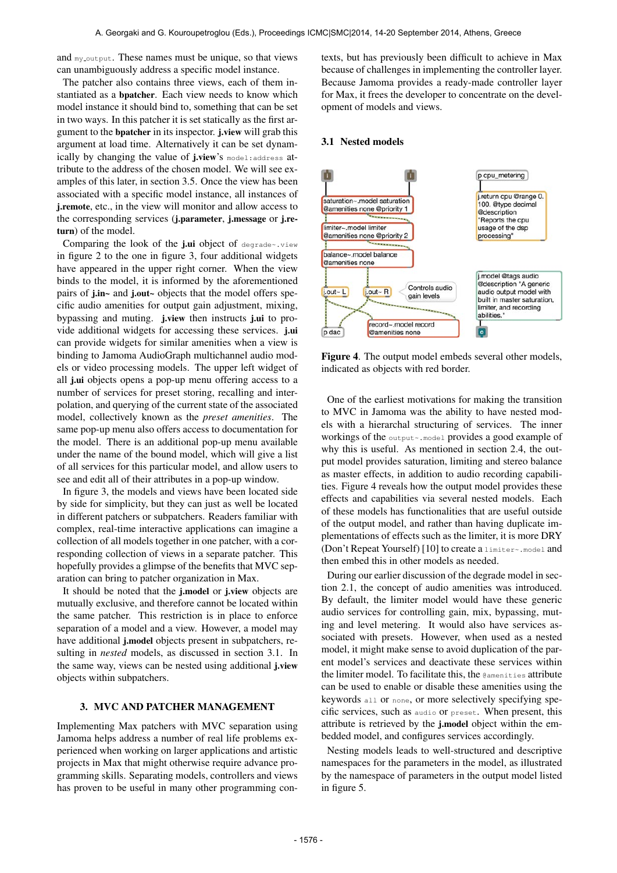and  $my$ -output. These names must be unique, so that views can unambiguously address a specific model instance.

The patcher also contains three views, each of them instantiated as a bpatcher. Each view needs to know which model instance it should bind to, something that can be set in two ways. In this patcher it is set statically as the first argument to the bpatcher in its inspector. j.view will grab this argument at load time. Alternatively it can be set dynamically by changing the value of j.view's model:address attribute to the address of the chosen model. We will see examples of this later, in section 3.5. Once the view has been associated with a specific model instance, all instances of **i.remote**, etc., in the view will monitor and allow access to the corresponding services (j.parameter, j.message or j.return) of the model.

Comparing the look of the j.ui object of degrade~.view in figure 2 to the one in figure 3, four additional widgets have appeared in the upper right corner. When the view binds to the model, it is informed by the aforementioned pairs of j.in~ and j.out~ objects that the model offers specific audio amenities for output gain adjustment, mixing, bypassing and muting. j.view then instructs j.ui to provide additional widgets for accessing these services. j.ui can provide widgets for similar amenities when a view is binding to Jamoma AudioGraph multichannel audio models or video processing models. The upper left widget of all j.ui objects opens a pop-up menu offering access to a number of services for preset storing, recalling and interpolation, and querying of the current state of the associated model, collectively known as the *preset amenities*. The same pop-up menu also offers access to documentation for the model. There is an additional pop-up menu available under the name of the bound model, which will give a list of all services for this particular model, and allow users to see and edit all of their attributes in a pop-up window.

In figure 3, the models and views have been located side by side for simplicity, but they can just as well be located in different patchers or subpatchers. Readers familiar with complex, real-time interactive applications can imagine a collection of all models together in one patcher, with a corresponding collection of views in a separate patcher. This hopefully provides a glimpse of the benefits that MVC separation can bring to patcher organization in Max.

It should be noted that the j.model or j.view objects are mutually exclusive, and therefore cannot be located within the same patcher. This restriction is in place to enforce separation of a model and a view. However, a model may have additional j.model objects present in subpatchers, resulting in *nested* models, as discussed in section 3.1. In the same way, views can be nested using additional j.view objects within subpatchers.

## 3. MVC AND PATCHER MANAGEMENT

Implementing Max patchers with MVC separation using Jamoma helps address a number of real life problems experienced when working on larger applications and artistic projects in Max that might otherwise require advance programming skills. Separating models, controllers and views has proven to be useful in many other programming contexts, but has previously been difficult to achieve in Max because of challenges in implementing the controller layer. Because Jamoma provides a ready-made controller layer for Max, it frees the developer to concentrate on the development of models and views.

## 3.1 Nested models



Figure 4. The output model embeds several other models, indicated as objects with red border.

One of the earliest motivations for making the transition to MVC in Jamoma was the ability to have nested models with a hierarchal structuring of services. The inner workings of the output~.model provides a good example of why this is useful. As mentioned in section 2.4, the output model provides saturation, limiting and stereo balance as master effects, in addition to audio recording capabilities. Figure 4 reveals how the output model provides these effects and capabilities via several nested models. Each of these models has functionalities that are useful outside of the output model, and rather than having duplicate implementations of effects such as the limiter, it is more DRY (Don't Repeat Yourself) [10] to create a limiter~.model and then embed this in other models as needed.

During our earlier discussion of the degrade model in section 2.1, the concept of audio amenities was introduced. By default, the limiter model would have these generic audio services for controlling gain, mix, bypassing, muting and level metering. It would also have services associated with presets. However, when used as a nested model, it might make sense to avoid duplication of the parent model's services and deactivate these services within the limiter model. To facilitate this, the  $@$ amenities attribute can be used to enable or disable these amenities using the keywords all or none, or more selectively specifying specific services, such as audio or preset. When present, this attribute is retrieved by the j.model object within the embedded model, and configures services accordingly.

Nesting models leads to well-structured and descriptive namespaces for the parameters in the model, as illustrated by the namespace of parameters in the output model listed in figure 5.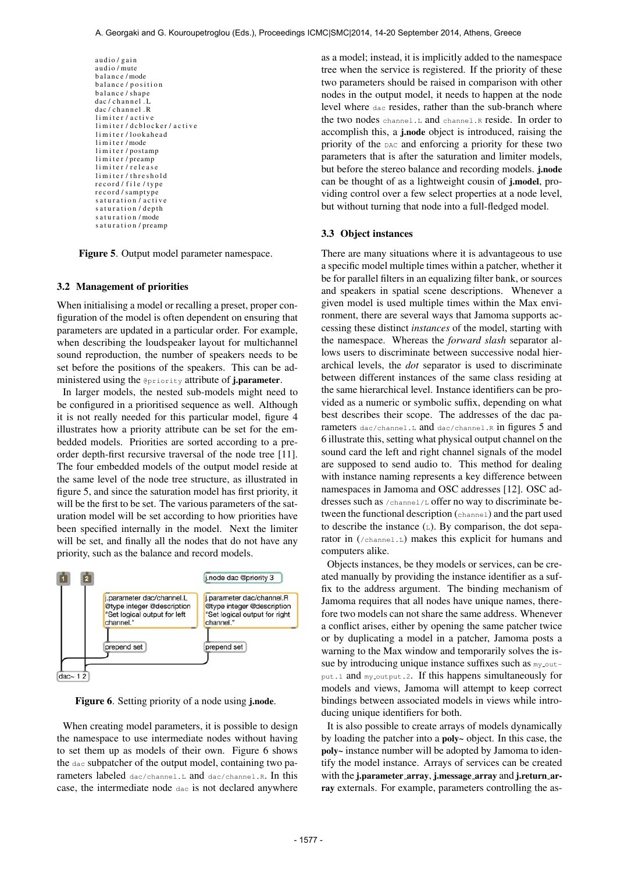audio / gain audio / mute balance / mode balance / position balance / shape dac / channel . L dac / channel . R limiter / active<br>limiter / dcblocker / active limiter/lookahead limiter/mode limiter / postamp limiter/preamp limiter/release limiter/threshold record / file / type record / samptype saturation / active s a turation / depth s a turation / mode s a turation / preamp

Figure 5. Output model parameter namespace.

#### 3.2 Management of priorities

When initialising a model or recalling a preset, proper configuration of the model is often dependent on ensuring that parameters are updated in a particular order. For example, when describing the loudspeaker layout for multichannel sound reproduction, the number of speakers needs to be set before the positions of the speakers. This can be administered using the @priority attribute of j.parameter.

In larger models, the nested sub-models might need to be configured in a prioritised sequence as well. Although it is not really needed for this particular model, figure 4 illustrates how a priority attribute can be set for the embedded models. Priorities are sorted according to a preorder depth-first recursive traversal of the node tree [11]. The four embedded models of the output model reside at the same level of the node tree structure, as illustrated in figure 5, and since the saturation model has first priority, it will be the first to be set. The various parameters of the saturation model will be set according to how priorities have been specified internally in the model. Next the limiter will be set, and finally all the nodes that do not have any priority, such as the balance and record models.



Figure 6. Setting priority of a node using *j.node.* 

When creating model parameters, it is possible to design the namespace to use intermediate nodes without having to set them up as models of their own. Figure 6 shows the dac subpatcher of the output model, containing two parameters labeled dac/channel.L and dac/channel.R. In this case, the intermediate node dac is not declared anywhere as a model; instead, it is implicitly added to the namespace tree when the service is registered. If the priority of these two parameters should be raised in comparison with other nodes in the output model, it needs to happen at the node level where dac resides, rather than the sub-branch where the two nodes channel.L and channel.R reside. In order to accomplish this, a j.node object is introduced, raising the priority of the DAC and enforcing a priority for these two parameters that is after the saturation and limiter models, but before the stereo balance and recording models. j.node can be thought of as a lightweight cousin of j.model, providing control over a few select properties at a node level, but without turning that node into a full-fledged model.

## 3.3 Object instances

There are many situations where it is advantageous to use a specific model multiple times within a patcher, whether it be for parallel filters in an equalizing filter bank, or sources and speakers in spatial scene descriptions. Whenever a given model is used multiple times within the Max environment, there are several ways that Jamoma supports accessing these distinct *instances* of the model, starting with the namespace. Whereas the *forward slash* separator allows users to discriminate between successive nodal hierarchical levels, the *dot* separator is used to discriminate between different instances of the same class residing at the same hierarchical level. Instance identifiers can be provided as a numeric or symbolic suffix, depending on what best describes their scope. The addresses of the dac parameters dac/channel.L and dac/channel.R in figures 5 and 6 illustrate this, setting what physical output channel on the sound card the left and right channel signals of the model are supposed to send audio to. This method for dealing with instance naming represents a key difference between namespaces in Jamoma and OSC addresses [12]. OSC addresses such as /channel/L offer no way to discriminate between the functional description (channel) and the part used to describe the instance  $(L)$ . By comparison, the dot separator in (/channel.L) makes this explicit for humans and computers alike.

Objects instances, be they models or services, can be created manually by providing the instance identifier as a suffix to the address argument. The binding mechanism of Jamoma requires that all nodes have unique names, therefore two models can not share the same address. Whenever a conflict arises, either by opening the same patcher twice or by duplicating a model in a patcher, Jamoma posts a warning to the Max window and temporarily solves the issue by introducing unique instance suffixes such as  $my$ -output.1 and my\_output.2. If this happens simultaneously for models and views, Jamoma will attempt to keep correct bindings between associated models in views while introducing unique identifiers for both.

It is also possible to create arrays of models dynamically by loading the patcher into a poly~ object. In this case, the poly~ instance number will be adopted by Jamoma to identify the model instance. Arrays of services can be created with the j.parameter\_array, j.message\_array and j.return\_array externals. For example, parameters controlling the as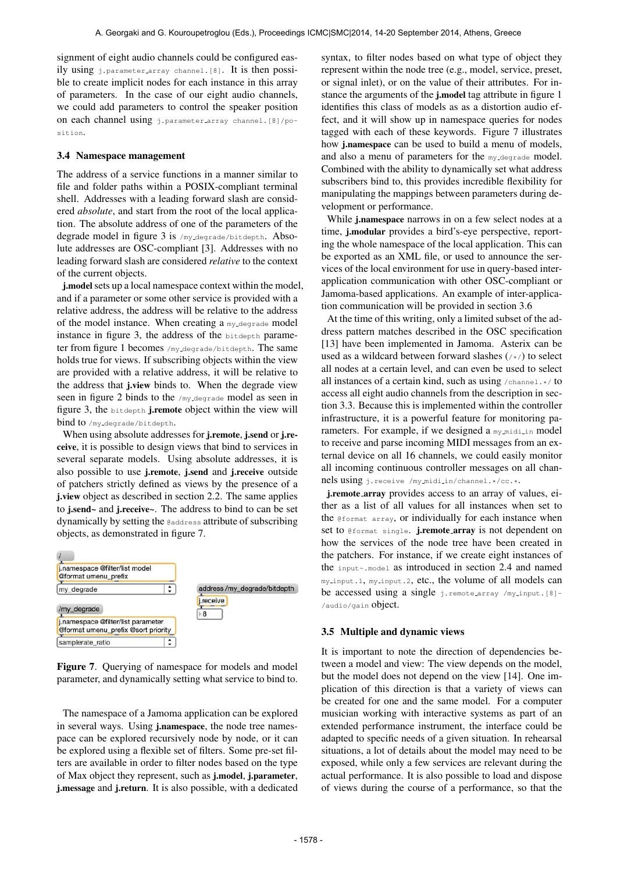signment of eight audio channels could be configured easily using j.parameter array channel.[8]. It is then possible to create implicit nodes for each instance in this array of parameters. In the case of our eight audio channels, we could add parameters to control the speaker position on each channel using j.parameter array channel.[8]/position.

## 3.4 Namespace management

The address of a service functions in a manner similar to file and folder paths within a POSIX-compliant terminal shell. Addresses with a leading forward slash are considered *absolute*, and start from the root of the local application. The absolute address of one of the parameters of the degrade model in figure 3 is /my\_degrade/bitdepth. Absolute addresses are OSC-compliant [3]. Addresses with no leading forward slash are considered *relative* to the context of the current objects.

j.model sets up a local namespace context within the model, and if a parameter or some other service is provided with a relative address, the address will be relative to the address of the model instance. When creating a my<sub>-degrade</sub> model instance in figure 3, the address of the bitdepth parameter from figure 1 becomes /my degrade/bitdepth. The same holds true for views. If subscribing objects within the view are provided with a relative address, it will be relative to the address that j.view binds to. When the degrade view seen in figure 2 binds to the /my\_degrade model as seen in figure 3, the bitdepth j.remote object within the view will bind to /my\_degrade/bitdepth.

When using absolute addresses for j.remote, j.send or j.receive, it is possible to design views that bind to services in several separate models. Using absolute addresses, it is also possible to use j.remote, j.send and j.receive outside of patchers strictly defined as views by the presence of a j.view object as described in section 2.2. The same applies to j.send~ and j.receive~. The address to bind to can be set dynamically by setting the @address attribute of subscribing objects, as demonstrated in figure 7.



Figure 7. Querying of namespace for models and model parameter, and dynamically setting what service to bind to.

The namespace of a Jamoma application can be explored in several ways. Using j.namespace, the node tree namespace can be explored recursively node by node, or it can be explored using a flexible set of filters. Some pre-set filters are available in order to filter nodes based on the type of Max object they represent, such as j.model, j.parameter, j.message and j.return. It is also possible, with a dedicated syntax, to filter nodes based on what type of object they represent within the node tree (e.g., model, service, preset, or signal inlet), or on the value of their attributes. For instance the arguments of the j.model tag attribute in figure 1 identifies this class of models as as a distortion audio effect, and it will show up in namespace queries for nodes tagged with each of these keywords. Figure 7 illustrates how j.namespace can be used to build a menu of models, and also a menu of parameters for the my degrade model. Combined with the ability to dynamically set what address subscribers bind to, this provides incredible flexibility for manipulating the mappings between parameters during development or performance.

While j.namespace narrows in on a few select nodes at a time, j.modular provides a bird's-eye perspective, reporting the whole namespace of the local application. This can be exported as an XML file, or used to announce the services of the local environment for use in query-based interapplication communication with other OSC-compliant or Jamoma-based applications. An example of inter-application communication will be provided in section 3.6

At the time of this writing, only a limited subset of the address pattern matches described in the OSC specification [13] have been implemented in Jamoma. Asterix can be used as a wildcard between forward slashes (/\*/) to select all nodes at a certain level, and can even be used to select all instances of a certain kind, such as using  $/$ channel. $\star/$  to access all eight audio channels from the description in section 3.3. Because this is implemented within the controller infrastructure, it is a powerful feature for monitoring parameters. For example, if we designed a my midi in model to receive and parse incoming MIDI messages from an external device on all 16 channels, we could easily monitor all incoming continuous controller messages on all channels using j.receive /my midi in/channel.\*/cc.\*.

j.remote array provides access to an array of values, either as a list of all values for all instances when set to the @format array, or individually for each instance when set to @format single. j.remote\_array is not dependent on how the services of the node tree have been created in the patchers. For instance, if we create eight instances of the input~.model as introduced in section 2.4 and named my input.1, my input.2, etc., the volume of all models can be accessed using a single j.remote\_array /my\_input.[8]-/audio/gain object.

#### 3.5 Multiple and dynamic views

It is important to note the direction of dependencies between a model and view: The view depends on the model, but the model does not depend on the view [14]. One implication of this direction is that a variety of views can be created for one and the same model. For a computer musician working with interactive systems as part of an extended performance instrument, the interface could be adapted to specific needs of a given situation. In rehearsal situations, a lot of details about the model may need to be exposed, while only a few services are relevant during the actual performance. It is also possible to load and dispose of views during the course of a performance, so that the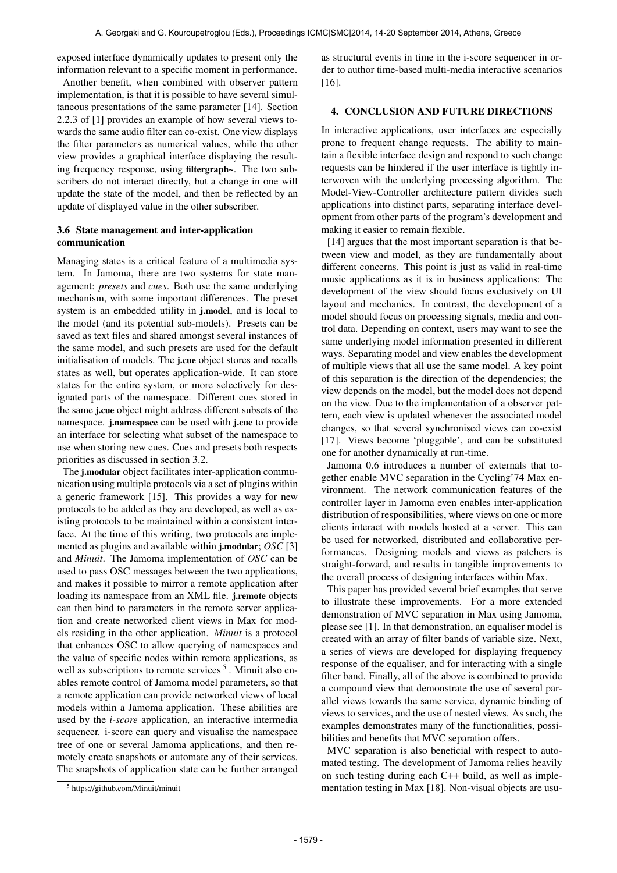exposed interface dynamically updates to present only the information relevant to a specific moment in performance.

Another benefit, when combined with observer pattern implementation, is that it is possible to have several simultaneous presentations of the same parameter [14]. Section 2.2.3 of [1] provides an example of how several views towards the same audio filter can co-exist. One view displays the filter parameters as numerical values, while the other view provides a graphical interface displaying the resulting frequency response, using filtergraph~. The two subscribers do not interact directly, but a change in one will update the state of the model, and then be reflected by an update of displayed value in the other subscriber.

## 3.6 State management and inter-application communication

Managing states is a critical feature of a multimedia system. In Jamoma, there are two systems for state management: *presets* and *cues*. Both use the same underlying mechanism, with some important differences. The preset system is an embedded utility in j.model, and is local to the model (and its potential sub-models). Presets can be saved as text files and shared amongst several instances of the same model, and such presets are used for the default initialisation of models. The j.cue object stores and recalls states as well, but operates application-wide. It can store states for the entire system, or more selectively for designated parts of the namespace. Different cues stored in the same j.cue object might address different subsets of the namespace. j.namespace can be used with j.cue to provide an interface for selecting what subset of the namespace to use when storing new cues. Cues and presets both respects priorities as discussed in section 3.2.

The j.modular object facilitates inter-application communication using multiple protocols via a set of plugins within a generic framework [15]. This provides a way for new protocols to be added as they are developed, as well as existing protocols to be maintained within a consistent interface. At the time of this writing, two protocols are implemented as plugins and available within j.modular; *OSC* [3] and *Minuit*. The Jamoma implementation of *OSC* can be used to pass OSC messages between the two applications, and makes it possible to mirror a remote application after loading its namespace from an XML file. j.remote objects can then bind to parameters in the remote server application and create networked client views in Max for models residing in the other application. *Minuit* is a protocol that enhances OSC to allow querying of namespaces and the value of specific nodes within remote applications, as well as subscriptions to remote services<sup>5</sup>. Minuit also enables remote control of Jamoma model parameters, so that a remote application can provide networked views of local models within a Jamoma application. These abilities are used by the *i-score* application, an interactive intermedia sequencer. i-score can query and visualise the namespace tree of one or several Jamoma applications, and then remotely create snapshots or automate any of their services. The snapshots of application state can be further arranged as structural events in time in the i-score sequencer in order to author time-based multi-media interactive scenarios [16].

## 4. CONCLUSION AND FUTURE DIRECTIONS

In interactive applications, user interfaces are especially prone to frequent change requests. The ability to maintain a flexible interface design and respond to such change requests can be hindered if the user interface is tightly interwoven with the underlying processing algorithm. The Model-View-Controller architecture pattern divides such applications into distinct parts, separating interface development from other parts of the program's development and making it easier to remain flexible.

[14] argues that the most important separation is that between view and model, as they are fundamentally about different concerns. This point is just as valid in real-time music applications as it is in business applications: The development of the view should focus exclusively on UI layout and mechanics. In contrast, the development of a model should focus on processing signals, media and control data. Depending on context, users may want to see the same underlying model information presented in different ways. Separating model and view enables the development of multiple views that all use the same model. A key point of this separation is the direction of the dependencies; the view depends on the model, but the model does not depend on the view. Due to the implementation of a observer pattern, each view is updated whenever the associated model changes, so that several synchronised views can co-exist [17]. Views become 'pluggable', and can be substituted one for another dynamically at run-time.

Jamoma 0.6 introduces a number of externals that together enable MVC separation in the Cycling'74 Max environment. The network communication features of the controller layer in Jamoma even enables inter-application distribution of responsibilities, where views on one or more clients interact with models hosted at a server. This can be used for networked, distributed and collaborative performances. Designing models and views as patchers is straight-forward, and results in tangible improvements to the overall process of designing interfaces within Max.

This paper has provided several brief examples that serve to illustrate these improvements. For a more extended demonstration of MVC separation in Max using Jamoma, please see [1]. In that demonstration, an equaliser model is created with an array of filter bands of variable size. Next, a series of views are developed for displaying frequency response of the equaliser, and for interacting with a single filter band. Finally, all of the above is combined to provide a compound view that demonstrate the use of several parallel views towards the same service, dynamic binding of views to services, and the use of nested views. As such, the examples demonstrates many of the functionalities, possibilities and benefits that MVC separation offers.

MVC separation is also beneficial with respect to automated testing. The development of Jamoma relies heavily on such testing during each C++ build, as well as implementation testing in Max [18]. Non-visual objects are usu-

<sup>5</sup> <https://github.com/Minuit/minuit>